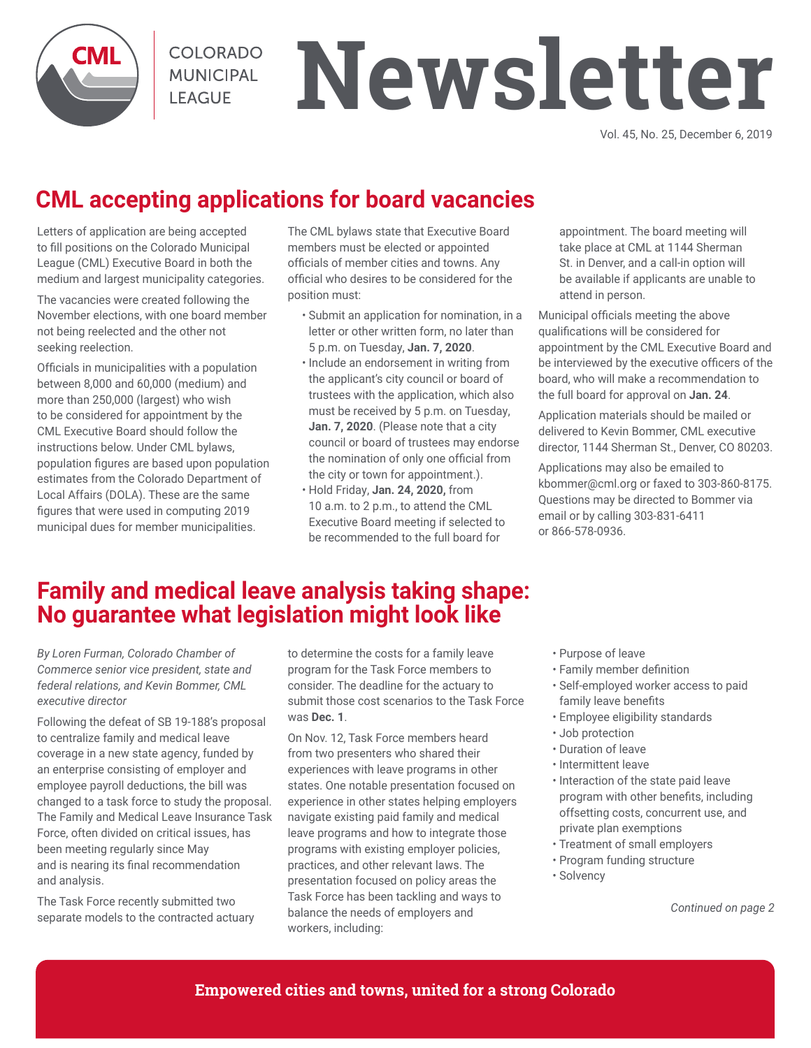**COLORADO MUNICIPAL LEAGUE** 

# **Newsletter**

Vol. 45, No. 25, December 6, 2019

## **CML accepting applications for board vacancies**

Letters of application are being accepted to fill positions on the Colorado Municipal League (CML) Executive Board in both the medium and largest municipality categories.

The vacancies were created following the November elections, with one board member not being reelected and the other not seeking reelection.

Officials in municipalities with a population between 8,000 and 60,000 (medium) and more than 250,000 (largest) who wish to be considered for appointment by the CML Executive Board should follow the instructions below. Under CML bylaws, population figures are based upon population estimates from the Colorado Department of Local Affairs (DOLA). These are the same figures that were used in computing 2019 municipal dues for member municipalities.

The CML bylaws state that Executive Board members must be elected or appointed officials of member cities and towns. Any official who desires to be considered for the position must:

- Submit an application for nomination, in a letter or other written form, no later than 5 p.m. on Tuesday, **Jan. 7, 2020**.
- Include an endorsement in writing from the applicant's city council or board of trustees with the application, which also must be received by 5 p.m. on Tuesday, **Jan. 7, 2020**. (Please note that a city council or board of trustees may endorse the nomination of only one official from the city or town for appointment.).
- Hold Friday, **Jan. 24, 2020,** from 10 a.m. to 2 p.m., to attend the CML Executive Board meeting if selected to be recommended to the full board for

appointment. The board meeting will take place at CML at 1144 Sherman St. in Denver, and a call-in option will be available if applicants are unable to attend in person.

Municipal officials meeting the above qualifications will be considered for appointment by the CML Executive Board and be interviewed by the executive officers of the board, who will make a recommendation to the full board for approval on **Jan. 24**.

Application materials should be mailed or delivered to Kevin Bommer, CML executive director, 1144 Sherman St., Denver, CO 80203.

Applications may also be emailed to kbommer@cml.org or faxed to 303-860-8175. Questions may be directed to Bommer via email or by calling 303-831-6411 or 866-578-0936.

## **Family and medical leave analysis taking shape: No guarantee what legislation might look like**

*By Loren Furman, Colorado Chamber of Commerce senior vice president, state and federal relations, and Kevin Bommer, CML executive director*

Following the defeat of SB 19-188's proposal to centralize family and medical leave coverage in a new state agency, funded by an enterprise consisting of employer and employee payroll deductions, the bill was changed to a task force to study the proposal. The Family and Medical Leave Insurance Task Force, often divided on critical issues, has been meeting regularly since May and is nearing its final recommendation and analysis.

The Task Force recently submitted two separate models to the contracted actuary to determine the costs for a family leave program for the Task Force members to consider. The deadline for the actuary to submit those cost scenarios to the Task Force was **Dec. 1**.

On Nov. 12, Task Force members heard from two presenters who shared their experiences with leave programs in other states. One notable presentation focused on experience in other states helping employers navigate existing paid family and medical leave programs and how to integrate those programs with existing employer policies, practices, and other relevant laws. The presentation focused on policy areas the Task Force has been tackling and ways to balance the needs of employers and workers, including:

- Purpose of leave
- Family member definition
- Self-employed worker access to paid family leave benefits
- Employee eligibility standards
- Job protection
- Duration of leave
- Intermittent leave
- Interaction of the state paid leave program with other benefits, including offsetting costs, concurrent use, and private plan exemptions
- Treatment of small employers
- Program funding structure
- Solvency

*Continued on page 2*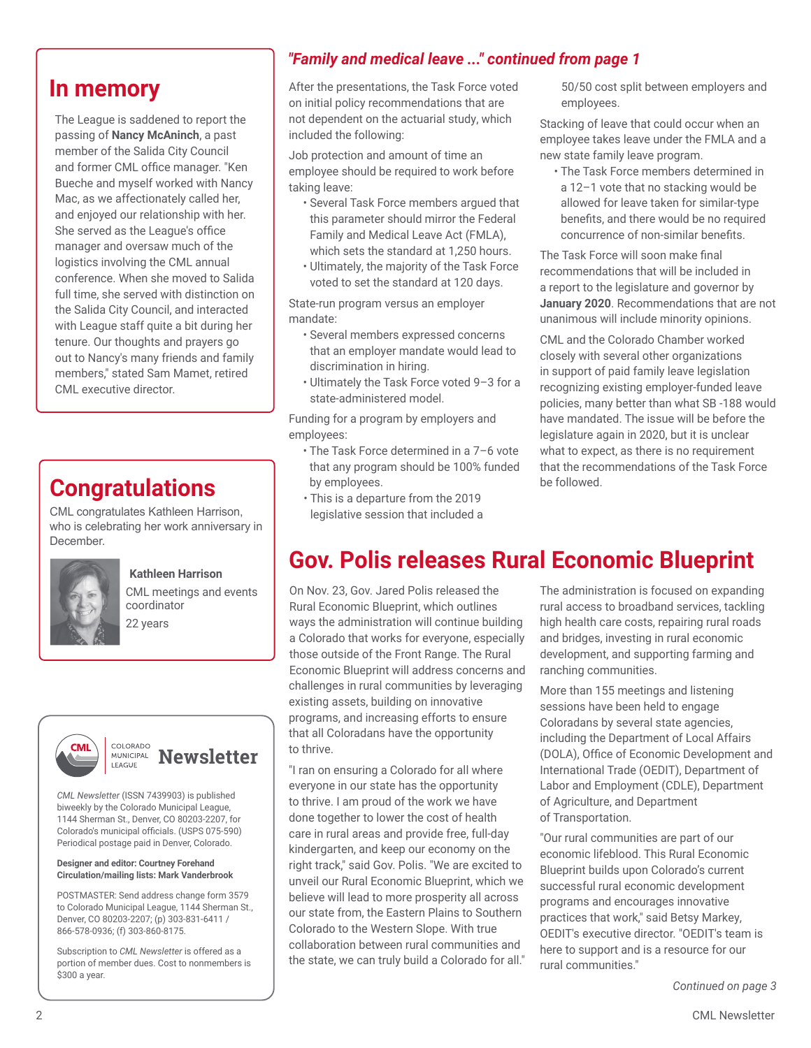The League is saddened to report the passing of **Nancy McAninch**, a past member of the Salida City Council and former CML office manager. "Ken Bueche and myself worked with Nancy Mac, as we affectionately called her, and enjoyed our relationship with her. She served as the League's office manager and oversaw much of the logistics involving the CML annual conference. When she moved to Salida full time, she served with distinction on the Salida City Council, and interacted with League staff quite a bit during her tenure. Our thoughts and prayers go out to Nancy's many friends and family members," stated Sam Mamet, retired CML executive director.

## **Congratulations**

CML congratulates Kathleen Harrison, who is celebrating her work anniversary in December.



#### **Kathleen Harrison**

CML meetings and events coordinator 22 years





*CML Newsletter* (ISSN 7439903) is published biweekly by the Colorado Municipal League, 1144 Sherman St., Denver, CO 80203-2207, for Colorado's municipal officials. (USPS 075-590) Periodical postage paid in Denver, Colorado.

#### **Designer and editor: Courtney Forehand Circulation/mailing lists: Mark Vanderbrook**

POSTMASTER: Send address change form 3579 to Colorado Municipal League, 1144 Sherman St., Denver, CO 80203-2207; (p) 303-831-6411 / 866-578-0936; (f) 303-860-8175.

Subscription to *CML Newsletter* is offered as a portion of member dues. Cost to nonmembers is \$300 a year.

### *"Family and medical leave ..." continued from page 1*

**In memory** After the presentations, the Task Force voted on initial policy recommendations that are not dependent on the actuarial study, which included the following:

> Job protection and amount of time an employee should be required to work before taking leave:

- Several Task Force members argued that this parameter should mirror the Federal Family and Medical Leave Act (FMLA), which sets the standard at 1,250 hours.
- Ultimately, the majority of the Task Force voted to set the standard at 120 days.

State-run program versus an employer mandate:

- Several members expressed concerns that an employer mandate would lead to discrimination in hiring.
- Ultimately the Task Force voted 9–3 for a state-administered model.

Funding for a program by employers and employees:

- The Task Force determined in a 7–6 vote that any program should be 100% funded by employees.
- This is a departure from the 2019 legislative session that included a

50/50 cost split between employers and employees.

Stacking of leave that could occur when an employee takes leave under the FMLA and a new state family leave program.

• The Task Force members determined in a 12–1 vote that no stacking would be allowed for leave taken for similar-type benefits, and there would be no required concurrence of non-similar benefits.

The Task Force will soon make final recommendations that will be included in a report to the legislature and governor by **January 2020**. Recommendations that are not unanimous will include minority opinions.

CML and the Colorado Chamber worked closely with several other organizations in support of paid family leave legislation recognizing existing employer-funded leave policies, many better than what SB -188 would have mandated. The issue will be before the legislature again in 2020, but it is unclear what to expect, as there is no requirement that the recommendations of the Task Force be followed.

## **Gov. Polis releases Rural Economic Blueprint**

On Nov. 23, Gov. Jared Polis released the Rural Economic Blueprint, which outlines ways the administration will continue building a Colorado that works for everyone, especially those outside of the Front Range. The Rural Economic Blueprint will address concerns and challenges in rural communities by leveraging existing assets, building on innovative programs, and increasing efforts to ensure that all Coloradans have the opportunity to thrive.

"I ran on ensuring a Colorado for all where everyone in our state has the opportunity to thrive. I am proud of the work we have done together to lower the cost of health care in rural areas and provide free, full-day kindergarten, and keep our economy on the right track," said Gov. Polis. "We are excited to unveil our Rural Economic Blueprint, which we believe will lead to more prosperity all across our state from, the Eastern Plains to Southern Colorado to the Western Slope. With true collaboration between rural communities and the state, we can truly build a Colorado for all."

The administration is focused on expanding rural access to broadband services, tackling high health care costs, repairing rural roads and bridges, investing in rural economic development, and supporting farming and ranching communities.

More than 155 meetings and listening sessions have been held to engage Coloradans by several state agencies, including the Department of Local Affairs (DOLA), Office of Economic Development and International Trade (OEDIT), Department of Labor and Employment (CDLE), Department of Agriculture, and Department of Transportation.

"Our rural communities are part of our economic lifeblood. This Rural Economic Blueprint builds upon Colorado's current successful rural economic development programs and encourages innovative practices that work," said Betsy Markey, OEDIT's executive director. "OEDIT's team is here to support and is a resource for our rural communities."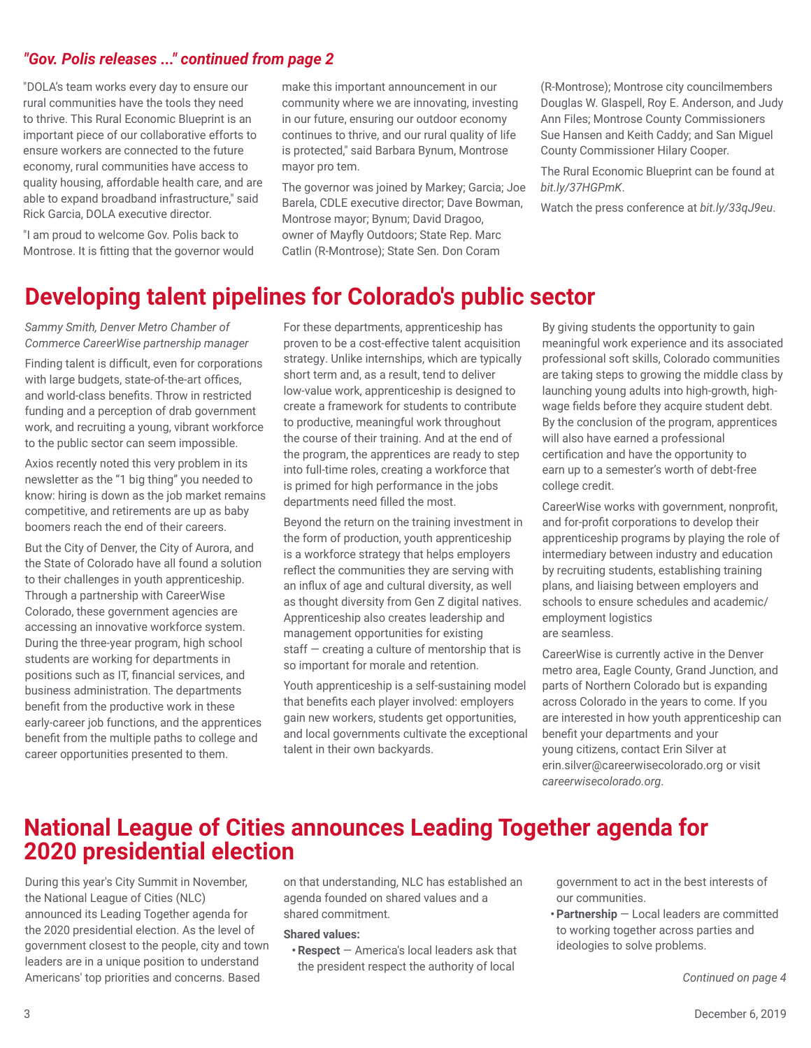#### *"Gov. Polis releases ..." continued from page 2*

"DOLA's team works every day to ensure our rural communities have the tools they need to thrive. This Rural Economic Blueprint is an important piece of our collaborative efforts to ensure workers are connected to the future economy, rural communities have access to quality housing, affordable health care, and are able to expand broadband infrastructure," said Rick Garcia, DOLA executive director.

"I am proud to welcome Gov. Polis back to Montrose. It is fitting that the governor would make this important announcement in our community where we are innovating, investing in our future, ensuring our outdoor economy continues to thrive, and our rural quality of life is protected," said Barbara Bynum, Montrose mayor pro tem.

The governor was joined by Markey; Garcia; Joe Barela, CDLE executive director; Dave Bowman, Montrose mayor; Bynum; David Dragoo, owner of Mayfly Outdoors; State Rep. Marc Catlin (R-Montrose); State Sen. Don Coram

(R-Montrose); Montrose city councilmembers Douglas W. Glaspell, Roy E. Anderson, and Judy Ann Files; Montrose County Commissioners Sue Hansen and Keith Caddy; and San Miguel County Commissioner Hilary Cooper.

The Rural Economic Blueprint can be found at *bit.ly/37HGPmK*.

Watch the press conference at *bit.ly/33qJ9eu*.

## **Developing talent pipelines for Colorado's public sector**

*Sammy Smith, Denver Metro Chamber of Commerce CareerWise partnership manager*

Finding talent is difficult, even for corporations with large budgets, state-of-the-art offices, and world-class benefits. Throw in restricted funding and a perception of drab government work, and recruiting a young, vibrant workforce to the public sector can seem impossible.

Axios recently noted this very problem in its newsletter as the "1 big thing" you needed to know: hiring is down as the job market remains competitive, and retirements are up as baby boomers reach the end of their careers.

But the City of Denver, the City of Aurora, and the State of Colorado have all found a solution to their challenges in youth apprenticeship. Through a partnership with CareerWise Colorado, these government agencies are accessing an innovative workforce system. During the three-year program, high school students are working for departments in positions such as IT, financial services, and business administration. The departments benefit from the productive work in these early-career job functions, and the apprentices benefit from the multiple paths to college and career opportunities presented to them.

For these departments, apprenticeship has proven to be a cost-effective talent acquisition strategy. Unlike internships, which are typically short term and, as a result, tend to deliver low-value work, apprenticeship is designed to create a framework for students to contribute to productive, meaningful work throughout the course of their training. And at the end of the program, the apprentices are ready to step into full-time roles, creating a workforce that is primed for high performance in the jobs departments need filled the most.

Beyond the return on the training investment in the form of production, youth apprenticeship is a workforce strategy that helps employers reflect the communities they are serving with an influx of age and cultural diversity, as well as thought diversity from Gen Z digital natives. Apprenticeship also creates leadership and management opportunities for existing staff — creating a culture of mentorship that is so important for morale and retention.

Youth apprenticeship is a self-sustaining model that benefits each player involved: employers gain new workers, students get opportunities, and local governments cultivate the exceptional talent in their own backyards.

By giving students the opportunity to gain meaningful work experience and its associated professional soft skills, Colorado communities are taking steps to growing the middle class by launching young adults into high-growth, highwage fields before they acquire student debt. By the conclusion of the program, apprentices will also have earned a professional certification and have the opportunity to earn up to a semester's worth of debt-free college credit.

CareerWise works with government, nonprofit, and for-profit corporations to develop their apprenticeship programs by playing the role of intermediary between industry and education by recruiting students, establishing training plans, and liaising between employers and schools to ensure schedules and academic/ employment logistics are seamless.

CareerWise is currently active in the Denver metro area, Eagle County, Grand Junction, and parts of Northern Colorado but is expanding across Colorado in the years to come. If you are interested in how youth apprenticeship can benefit your departments and your young citizens, contact Erin Silver at erin.silver@careerwisecolorado.org or visit *careerwisecolorado.org*.

## **National League of Cities announces Leading Together agenda for 2020 presidential election**

During this year's City Summit in November, the National League of Cities (NLC) announced its Leading Together agenda for the 2020 presidential election. As the level of government closest to the people, city and town leaders are in a unique position to understand Americans' top priorities and concerns. Based

on that understanding, NLC has established an agenda founded on shared values and a shared commitment.

#### **Shared values:**

**•Respect** — America's local leaders ask that the president respect the authority of local

government to act in the best interests of our communities.

**•Partnership** — Local leaders are committed to working together across parties and ideologies to solve problems.

*Continued on page 4*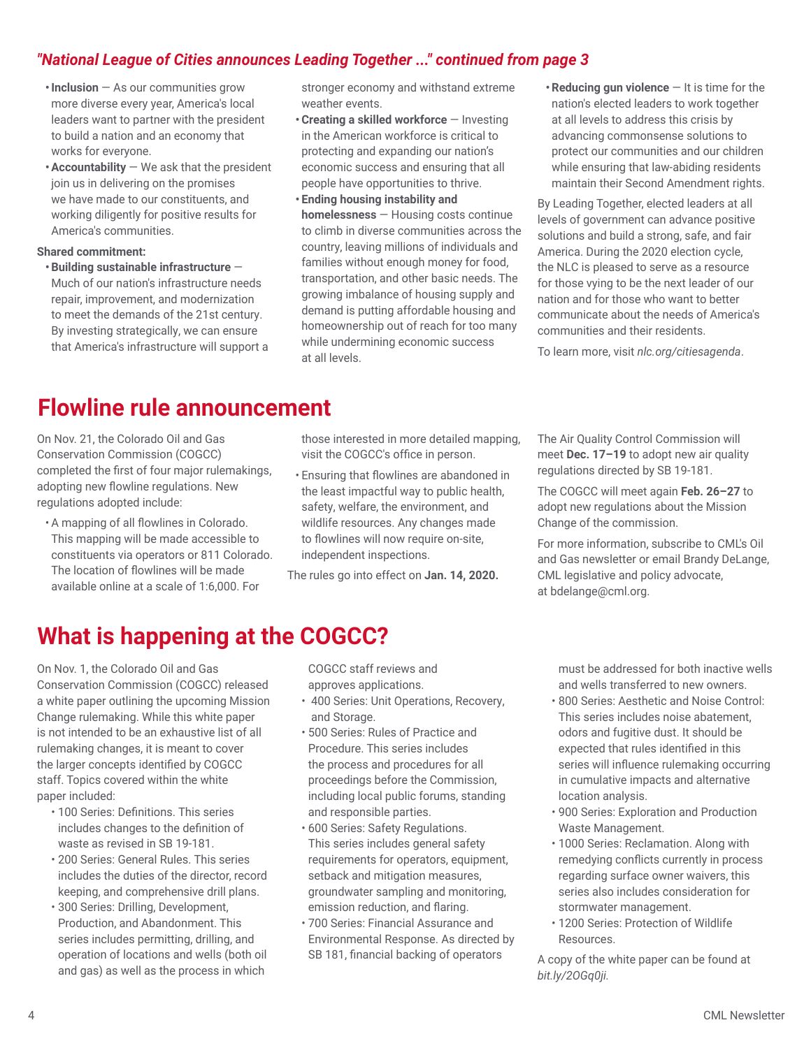### *"National League of Cities announces Leading Together ..." continued from page 3*

- **•Inclusion** As our communities grow more diverse every year, America's local leaders want to partner with the president to build a nation and an economy that works for everyone.
- **•Accountability** We ask that the president join us in delivering on the promises we have made to our constituents, and working diligently for positive results for America's communities.

#### **Shared commitment:**

**•Building sustainable infrastructure** — Much of our nation's infrastructure needs repair, improvement, and modernization to meet the demands of the 21st century. By investing strategically, we can ensure that America's infrastructure will support a stronger economy and withstand extreme weather events.

- **•Creating a skilled workforce**  Investing in the American workforce is critical to protecting and expanding our nation's economic success and ensuring that all people have opportunities to thrive.
- **• Ending housing instability and homelessness** — Housing costs continue to climb in diverse communities across the country, leaving millions of individuals and families without enough money for food, transportation, and other basic needs. The growing imbalance of housing supply and demand is putting affordable housing and homeownership out of reach for too many while undermining economic success at all levels.
- **•Reducing gun violence** It is time for the nation's elected leaders to work together at all levels to address this crisis by advancing commonsense solutions to protect our communities and our children while ensuring that law-abiding residents maintain their Second Amendment rights.

By Leading Together, elected leaders at all levels of government can advance positive solutions and build a strong, safe, and fair America. During the 2020 election cycle, the NLC is pleased to serve as a resource for those vying to be the next leader of our nation and for those who want to better communicate about the needs of America's communities and their residents.

To learn more, visit *nlc.org/citiesagenda*.

## **Flowline rule announcement**

On Nov. 21, the Colorado Oil and Gas Conservation Commission (COGCC) completed the first of four major rulemakings, adopting new flowline regulations. New regulations adopted include:

• A mapping of all flowlines in Colorado. This mapping will be made accessible to constituents via operators or 811 Colorado. The location of flowlines will be made available online at a scale of 1:6,000. For

those interested in more detailed mapping, visit the COGCC's office in person.

• Ensuring that flowlines are abandoned in the least impactful way to public health, safety, welfare, the environment, and wildlife resources. Any changes made to flowlines will now require on-site, independent inspections.

The rules go into effect on **Jan. 14, 2020.**

The Air Quality Control Commission will meet **Dec. 17–19** to adopt new air quality regulations directed by SB 19-181.

The COGCC will meet again **Feb. 26–27** to adopt new regulations about the Mission Change of the commission.

For more information, subscribe to CML's Oil and Gas newsletter or email Brandy DeLange, CML legislative and policy advocate, at bdelange@cml.org.

## **What is happening at the COGCC?**

On Nov. 1, the Colorado Oil and Gas Conservation Commission (COGCC) released a white paper outlining the upcoming Mission Change rulemaking. While this white paper is not intended to be an exhaustive list of all rulemaking changes, it is meant to cover the larger concepts identified by COGCC staff. Topics covered within the white paper included:

- 100 Series: Definitions. This series includes changes to the definition of waste as revised in SB 19-181.
- 200 Series: General Rules. This series includes the duties of the director, record keeping, and comprehensive drill plans.
- 300 Series: Drilling, Development, Production, and Abandonment. This series includes permitting, drilling, and operation of locations and wells (both oil and gas) as well as the process in which

COGCC staff reviews and approves applications.

- 400 Series: Unit Operations, Recovery, and Storage.
- 500 Series: Rules of Practice and Procedure. This series includes the process and procedures for all proceedings before the Commission, including local public forums, standing and responsible parties.
- 600 Series: Safety Regulations. This series includes general safety requirements for operators, equipment, setback and mitigation measures, groundwater sampling and monitoring, emission reduction, and flaring.
- 700 Series: Financial Assurance and Environmental Response. As directed by SB 181, financial backing of operators

must be addressed for both inactive wells and wells transferred to new owners.

- 800 Series: Aesthetic and Noise Control: This series includes noise abatement, odors and fugitive dust. It should be expected that rules identified in this series will influence rulemaking occurring in cumulative impacts and alternative location analysis.
- 900 Series: Exploration and Production Waste Management.
- 1000 Series: Reclamation. Along with remedying conflicts currently in process regarding surface owner waivers, this series also includes consideration for stormwater management.
- 1200 Series: Protection of Wildlife Resources.

A copy of the white paper can be found at *bit.ly/2OGq0ji.*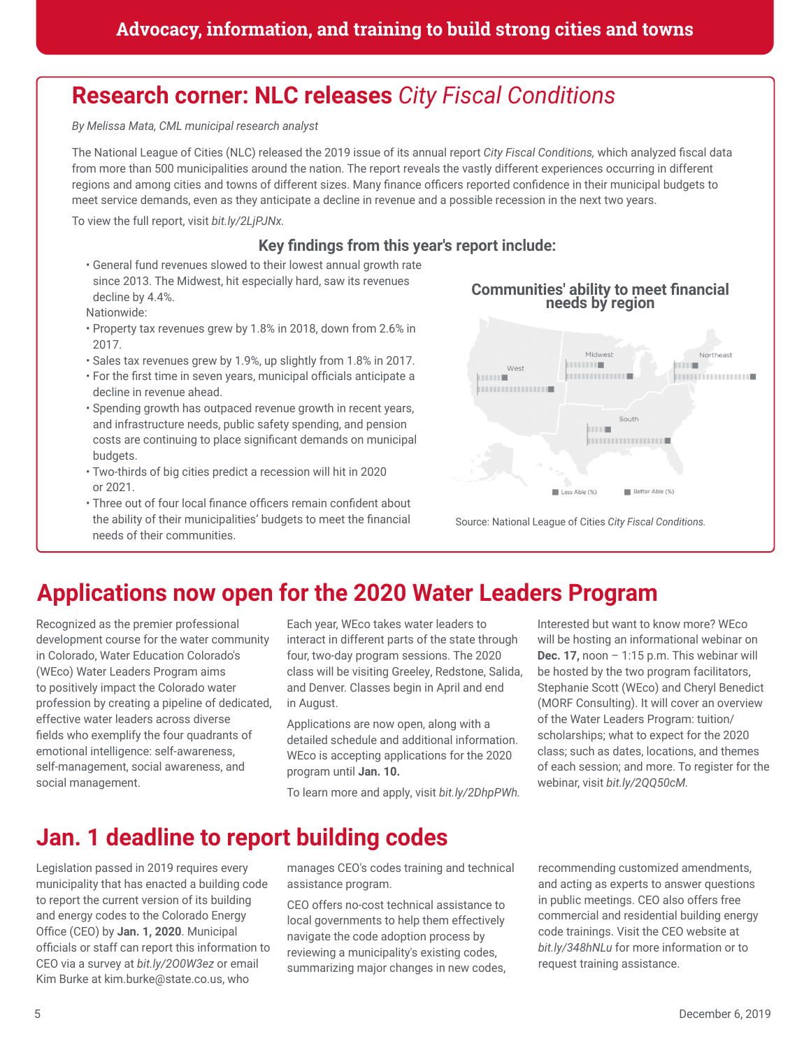## **Research corner: NLC releases** *City Fiscal Conditions*

*By Melissa Mata, CML municipal research analyst*

The National League of Cities (NLC) released the 2019 issue of its annual report *City Fiscal Conditions,* which analyzed fiscal data from more than 500 municipalities around the nation. The report reveals the vastly different experiences occurring in different regions and among cities and towns of different sizes. Many finance officers reported confidence in their municipal budgets to meet service demands, even as they anticipate a decline in revenue and a possible recession in the next two years.

To view the full report, visit *bit.ly/2LjPJNx.*

#### **Key findings from this year's report include:**

• General fund revenues slowed to their lowest annual growth rate since 2013. The Midwest, hit especially hard, saw its revenues decline by 4.4%.

Nationwide:

- Property tax revenues grew by 1.8% in 2018, down from 2.6% in 2017.
- Sales tax revenues grew by 1.9%, up slightly from 1.8% in 2017.
- For the first time in seven years, municipal officials anticipate a decline in revenue ahead.
- Spending growth has outpaced revenue growth in recent years, and infrastructure needs, public safety spending, and pension costs are continuing to place significant demands on municipal budgets.
- Two-thirds of big cities predict a recession will hit in 2020 or 2021.
- Three out of four local finance officers remain confident about the ability of their municipalities' budgets to meet the financial needs of their communities.





Source: National League of Cities *City Fiscal Conditions.*

## **Applications now open for the 2020 Water Leaders Program**

Recognized as the premier professional development course for the water community in Colorado, Water Education Colorado's (WEco) Water Leaders Program aims to positively impact the Colorado water profession by creating a pipeline of dedicated, effective water leaders across diverse fields who exemplify the four quadrants of emotional intelligence: self-awareness, self-management, social awareness, and social management.

Each year, WEco takes water leaders to interact in different parts of the state through four, two-day program sessions. The 2020 class will be visiting Greeley, Redstone, Salida, and Denver. Classes begin in April and end in August.

Applications are now open, along with a detailed schedule and additional information. WEco is accepting applications for the 2020 program until **Jan. 10.**

To learn more and apply, visit *bit.ly/2DhpPWh.*

Interested but want to know more? WEco will be hosting an informational webinar on **Dec. 17,** noon – 1:15 p.m. This webinar will be hosted by the two program facilitators, Stephanie Scott (WEco) and Cheryl Benedict (MORF Consulting). It will cover an overview of the Water Leaders Program: tuition/ scholarships; what to expect for the 2020 class; such as dates, locations, and themes of each session; and more. To register for the webinar, visit *bit.ly/2QQ50cM.*

## **Jan. 1 deadline to report building codes**

Legislation passed in 2019 requires every municipality that has enacted a building code to report the current version of its building and energy codes to the Colorado Energy Office (CEO) by **Jan. 1, 2020**. Municipal officials or staff can report this information to CEO via a survey at *bit.ly/2O0W3ez* or email Kim Burke at kim.burke@state.co.us, who

manages CEO's codes training and technical assistance program.

CEO offers no-cost technical assistance to local governments to help them effectively navigate the code adoption process by reviewing a municipality's existing codes, summarizing major changes in new codes, recommending customized amendments, and acting as experts to answer questions in public meetings. CEO also offers free commercial and residential building energy code trainings. Visit the CEO website at *bit.ly/348hNLu* for more information or to request training assistance.